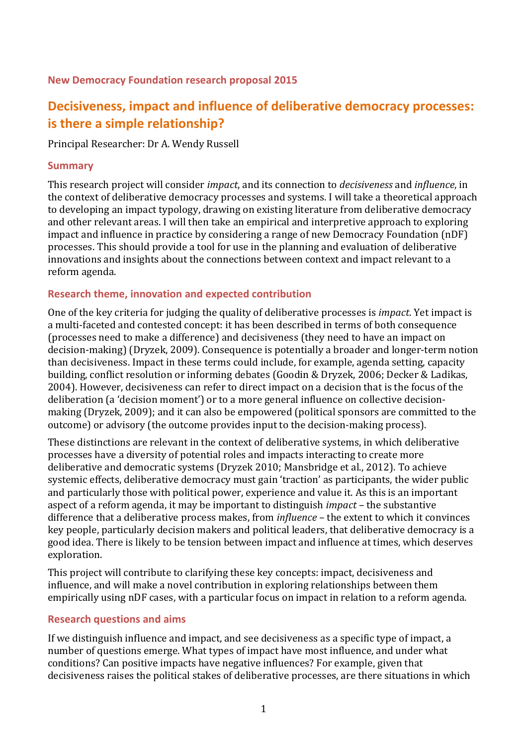### **New Democracy Foundation research proposal 2015**

# **Decisiveness, impact and influence of deliberative democracy processes: is there a simple relationship?**

Principal Researcher: Dr A. Wendy Russell

#### **Summary**

This research project will consider *impact*, and its connection to *decisiveness* and *influence*, in the context of deliberative democracy processes and systems. I will take a theoretical approach to developing an impact typology, drawing on existing literature from deliberative democracy and other relevant areas. I will then take an empirical and interpretive approach to exploring impact and influence in practice by considering a range of new Democracy Foundation (nDF) processes. This should provide a tool for use in the planning and evaluation of deliberative innovations and insights about the connections between context and impact relevant to a reform agenda.

#### **Research theme, innovation and expected contribution**

One of the key criteria for judging the quality of deliberative processes is *impact*. Yet impact is a multi-faceted and contested concept: it has been described in terms of both consequence (processes need to make a difference) and decisiveness (they need to have an impact on decision-making) (Dryzek, 2009). Consequence is potentially a broader and longer-term notion than decisiveness. Impact in these terms could include, for example, agenda setting, capacity building, conflict resolution or informing debates (Goodin & Dryzek, 2006; Decker & Ladikas, 2004). However, decisiveness can refer to direct impact on a decision that is the focus of the deliberation (a 'decision moment') or to a more general influence on collective decisionmaking (Dryzek, 2009); and it can also be empowered (political sponsors are committed to the outcome) or advisory (the outcome provides input to the decision-making process).

These distinctions are relevant in the context of deliberative systems, in which deliberative processes have a diversity of potential roles and impacts interacting to create more deliberative and democratic systems (Dryzek 2010; Mansbridge et al., 2012). To achieve systemic effects, deliberative democracy must gain 'traction' as participants, the wider public and particularly those with political power, experience and value it. As this is an important aspect of a reform agenda, it may be important to distinguish *impact* – the substantive difference that a deliberative process makes, from *influence* – the extent to which it convinces key people, particularly decision makers and political leaders, that deliberative democracy is a good idea. There is likely to be tension between impact and influence at times, which deserves exploration.

This project will contribute to clarifying these key concepts: impact, decisiveness and influence, and will make a novel contribution in exploring relationships between them empirically using nDF cases, with a particular focus on impact in relation to a reform agenda.

# **Research questions and aims**

If we distinguish influence and impact, and see decisiveness as a specific type of impact, a number of questions emerge. What types of impact have most influence, and under what conditions? Can positive impacts have negative influences? For example, given that decisiveness raises the political stakes of deliberative processes, are there situations in which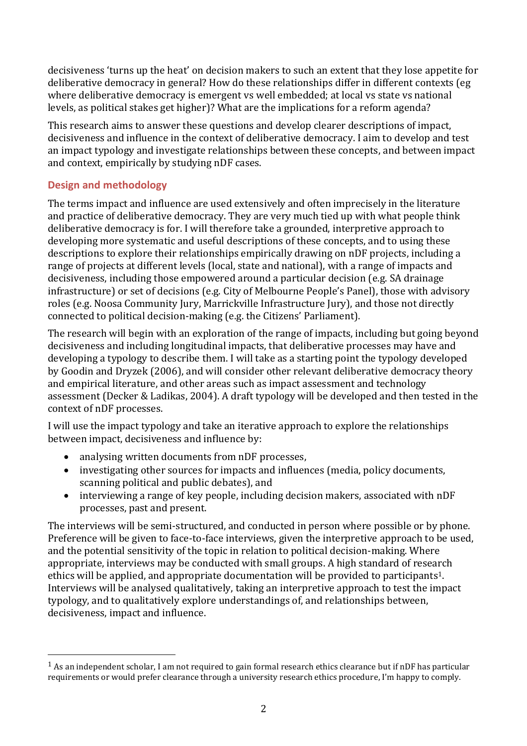decisiveness 'turns up the heat' on decision makers to such an extent that they lose appetite for deliberative democracy in general? How do these relationships differ in different contexts (eg where deliberative democracy is emergent vs well embedded; at local vs state vs national levels, as political stakes get higher)? What are the implications for a reform agenda?

This research aims to answer these questions and develop clearer descriptions of impact, decisiveness and influence in the context of deliberative democracy. I aim to develop and test an impact typology and investigate relationships between these concepts, and between impact and context, empirically by studying nDF cases.

# **Design and methodology**

 $\overline{a}$ 

The terms impact and influence are used extensively and often imprecisely in the literature and practice of deliberative democracy. They are very much tied up with what people think deliberative democracy is for. I will therefore take a grounded, interpretive approach to developing more systematic and useful descriptions of these concepts, and to using these descriptions to explore their relationships empirically drawing on nDF projects, including a range of projects at different levels (local, state and national), with a range of impacts and decisiveness, including those empowered around a particular decision (e.g. SA drainage infrastructure) or set of decisions (e.g. City of Melbourne People's Panel), those with advisory roles (e.g. Noosa Community Jury, Marrickville Infrastructure Jury), and those not directly connected to political decision-making (e.g. the Citizens' Parliament).

The research will begin with an exploration of the range of impacts, including but going beyond decisiveness and including longitudinal impacts, that deliberative processes may have and developing a typology to describe them. I will take as a starting point the typology developed by Goodin and Dryzek (2006), and will consider other relevant deliberative democracy theory and empirical literature, and other areas such as impact assessment and technology assessment (Decker & Ladikas, 2004). A draft typology will be developed and then tested in the context of nDF processes.

I will use the impact typology and take an iterative approach to explore the relationships between impact, decisiveness and influence by:

- analysing written documents from nDF processes,
- investigating other sources for impacts and influences (media, policy documents, scanning political and public debates), and
- interviewing a range of key people, including decision makers, associated with nDF processes, past and present.

The interviews will be semi-structured, and conducted in person where possible or by phone. Preference will be given to face-to-face interviews, given the interpretive approach to be used, and the potential sensitivity of the topic in relation to political decision-making. Where appropriate, interviews may be conducted with small groups. A high standard of research ethics will be applied, and appropriate documentation will be provided to participants<sup>1</sup>. Interviews will be analysed qualitatively, taking an interpretive approach to test the impact typology, and to qualitatively explore understandings of, and relationships between, decisiveness, impact and influence.

 $1$  As an independent scholar, I am not required to gain formal research ethics clearance but if nDF has particular requirements or would prefer clearance through a university research ethics procedure, I'm happy to comply.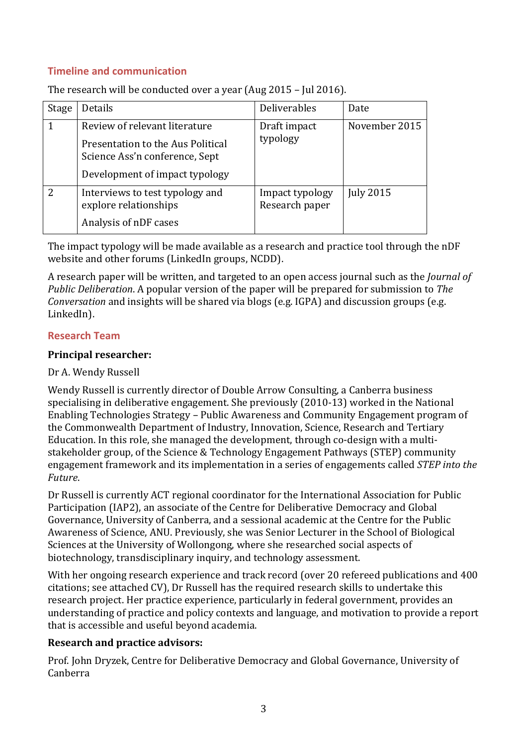# **Timeline and communication**

| Stage         | Details                                                                                               | Deliverables                      | Date             |
|---------------|-------------------------------------------------------------------------------------------------------|-----------------------------------|------------------|
|               |                                                                                                       |                                   |                  |
|               | Review of relevant literature                                                                         | Draft impact<br>typology          | November 2015    |
|               | Presentation to the Aus Political<br>Science Ass'n conference, Sept<br>Development of impact typology |                                   |                  |
|               |                                                                                                       |                                   |                  |
| $\mathcal{P}$ | Interviews to test typology and<br>explore relationships                                              | Impact typology<br>Research paper | <b>July 2015</b> |
|               | Analysis of nDF cases                                                                                 |                                   |                  |

The research will be conducted over a year (Aug 2015 – Jul 2016).

The impact typology will be made available as a research and practice tool through the nDF website and other forums (LinkedIn groups, NCDD).

A research paper will be written, and targeted to an open access journal such as the *Journal of Public Deliberation*. A popular version of the paper will be prepared for submission to *The Conversation* and insights will be shared via blogs (e.g. IGPA) and discussion groups (e.g. LinkedIn).

### **Research Team**

### **Principal researcher:**

### Dr A. Wendy Russell

Wendy Russell is currently director of Double Arrow Consulting, a Canberra business specialising in deliberative engagement. She previously (2010-13) worked in the National Enabling Technologies Strategy – Public Awareness and Community Engagement program of the Commonwealth Department of Industry, Innovation, Science, Research and Tertiary Education. In this role, she managed the development, through co-design with a multistakeholder group, of the Science & Technology Engagement Pathways (STEP) community engagement framework and its implementation in a series of engagements called *STEP into the Future*.

Dr Russell is currently ACT regional coordinator for the International Association for Public Participation (IAP2), an associate of the Centre for Deliberative Democracy and Global Governance, University of Canberra, and a sessional academic at the Centre for the Public Awareness of Science, ANU. Previously, she was Senior Lecturer in the School of Biological Sciences at the University of Wollongong, where she researched social aspects of biotechnology, transdisciplinary inquiry, and technology assessment.

With her ongoing research experience and track record (over 20 refereed publications and 400 citations; see attached CV), Dr Russell has the required research skills to undertake this research project. Her practice experience, particularly in federal government, provides an understanding of practice and policy contexts and language, and motivation to provide a report that is accessible and useful beyond academia.

# **Research and practice advisors:**

Prof. John Dryzek, Centre for Deliberative Democracy and Global Governance, University of Canberra